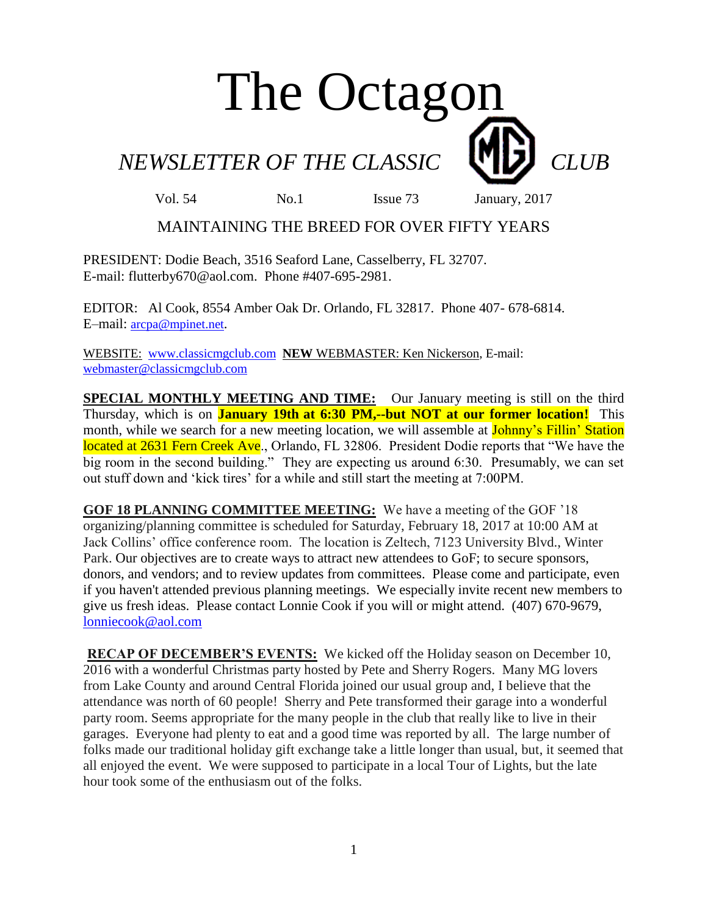# The Octagon

## *NEWSLETTER OF THE CLASSIC* **CLUB**

Vol. 54 No.1 Issue 73 January, 2017

### MAINTAINING THE BREED FOR OVER FIFTY YEARS

PRESIDENT: Dodie Beach, 3516 Seaford Lane, Casselberry, FL 32707. E-mail: flutterby670@aol.com. Phone #407-695-2981.

EDITOR: Al Cook, 8554 Amber Oak Dr. Orlando, FL 32817. Phone 407- 678-6814. E–mail: [arcpa@mpinet.net](mailto:arcpa@mpinet.net).

WEBSITE: [www.classicmgclub.com](http://www.classicmgclub.com/) **NEW** WEBMASTER: Ken Nickerson, E-mail: [webmaster@classicmgclub.com](mailto:webmaster@classicmgclub.com)

**SPECIAL MONTHLY MEETING AND TIME:** Our January meeting is still on the third Thursday, which is on **January 19th at 6:30 PM,--but NOT at our former location!** This month, while we search for a new meeting location, we will assemble at **Johnny's Fillin' Station** located at 2631 Fern Creek Ave., Orlando, FL 32806. President Dodie reports that "We have the big room in the second building." They are expecting us around 6:30. Presumably, we can set out stuff down and 'kick tires' for a while and still start the meeting at 7:00PM.

**GOF 18 PLANNING COMMITTEE MEETING:** We have a meeting of the GOF '18 organizing/planning committee is scheduled for Saturday, February 18, 2017 at 10:00 AM at Jack Collins' office conference room. The location is Zeltech, 7123 University Blvd., Winter Park. Our objectives are to create ways to attract new attendees to GoF; to secure sponsors, donors, and vendors; and to review updates from committees. Please come and participate, even if you haven't attended previous planning meetings. We especially invite recent new members to give us fresh ideas. Please contact Lonnie Cook if you will or might attend. (407) 670-9679, [lonniecook@aol.com](https://webmail.ucf.edu/owa/redir.aspx?C=Z34NSzQk6AjW2uaHDfSkgxE5GrfSkk9T0g_qpbIBDDSQu7chjDrUCA..&URL=mailto%3alonniecook%40aol.com)

**RECAP OF DECEMBER'S EVENTS:** We kicked off the Holiday season on December 10, 2016 with a wonderful Christmas party hosted by Pete and Sherry Rogers. Many MG lovers from Lake County and around Central Florida joined our usual group and, I believe that the attendance was north of 60 people! Sherry and Pete transformed their garage into a wonderful party room. Seems appropriate for the many people in the club that really like to live in their garages. Everyone had plenty to eat and a good time was reported by all. The large number of folks made our traditional holiday gift exchange take a little longer than usual, but, it seemed that all enjoyed the event. We were supposed to participate in a local Tour of Lights, but the late hour took some of the enthusiasm out of the folks.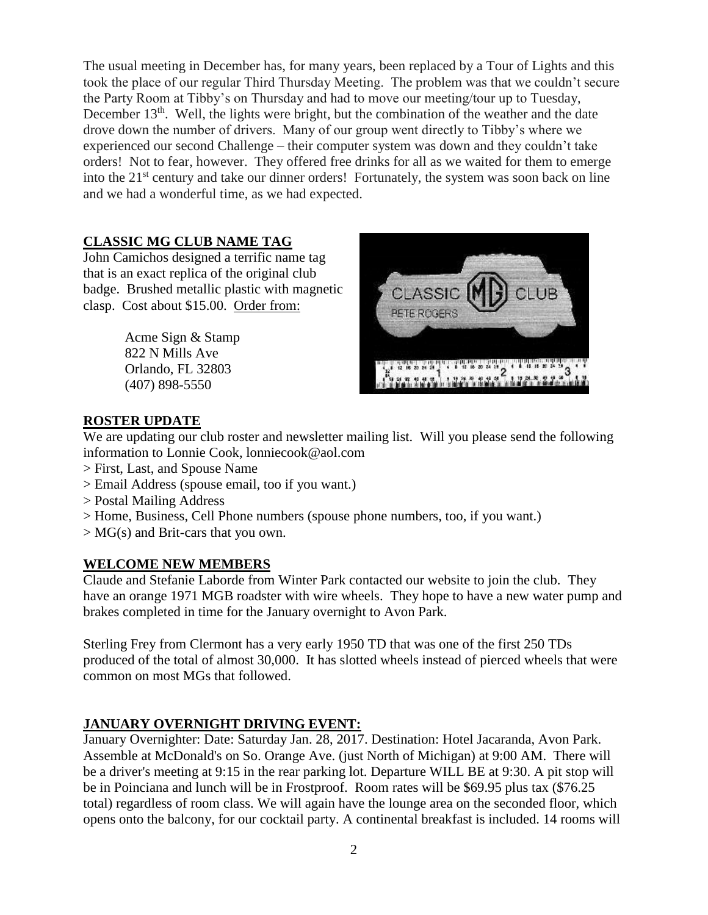The usual meeting in December has, for many years, been replaced by a Tour of Lights and this took the place of our regular Third Thursday Meeting. The problem was that we couldn't secure the Party Room at Tibby's on Thursday and had to move our meeting/tour up to Tuesday, December  $13<sup>th</sup>$ . Well, the lights were bright, but the combination of the weather and the date drove down the number of drivers. Many of our group went directly to Tibby's where we experienced our second Challenge – their computer system was down and they couldn't take orders! Not to fear, however. They offered free drinks for all as we waited for them to emerge into the 21<sup>st</sup> century and take our dinner orders! Fortunately, the system was soon back on line and we had a wonderful time, as we had expected.

#### **CLASSIC MG CLUB NAME TAG**

John Camichos designed a terrific name tag that is an exact replica of the original club badge. Brushed metallic plastic with magnetic clasp. Cost about \$15.00. Order from:

> Acme Sign & Stamp 822 N Mills Ave Orlando, FL 32803 [\(407\) 898-5550](javascript:void(0))



#### **ROSTER UPDATE**

We are updating our club roster and newsletter mailing list. Will you please send the following information to Lonnie Cook, lonniecook@aol.com

- > First, Last, and Spouse Name
- > Email Address (spouse email, too if you want.)
- > Postal Mailing Address
- > Home, Business, Cell Phone numbers (spouse phone numbers, too, if you want.)
- > MG(s) and Brit-cars that you own.

#### **WELCOME NEW MEMBERS**

Claude and Stefanie Laborde from Winter Park contacted our website to join the club. They have an orange 1971 MGB roadster with wire wheels. They hope to have a new water pump and brakes completed in time for the January overnight to Avon Park.

Sterling Frey from Clermont has a very early 1950 TD that was one of the first 250 TDs produced of the total of almost 30,000. It has slotted wheels instead of pierced wheels that were common on most MGs that followed.

#### **JANUARY OVERNIGHT DRIVING EVENT:**

January Overnighter: Date: Saturday Jan. 28, 2017. Destination: Hotel Jacaranda, Avon Park. Assemble at McDonald's on So. Orange Ave. (just North of Michigan) at 9:00 AM. There will be a driver's meeting at 9:15 in the rear parking lot. Departure WILL BE at 9:30. A pit stop will be in Poinciana and lunch will be in Frostproof. Room rates will be \$69.95 plus tax (\$76.25 total) regardless of room class. We will again have the lounge area on the seconded floor, which opens onto the balcony, for our cocktail party. A continental breakfast is included. 14 rooms will